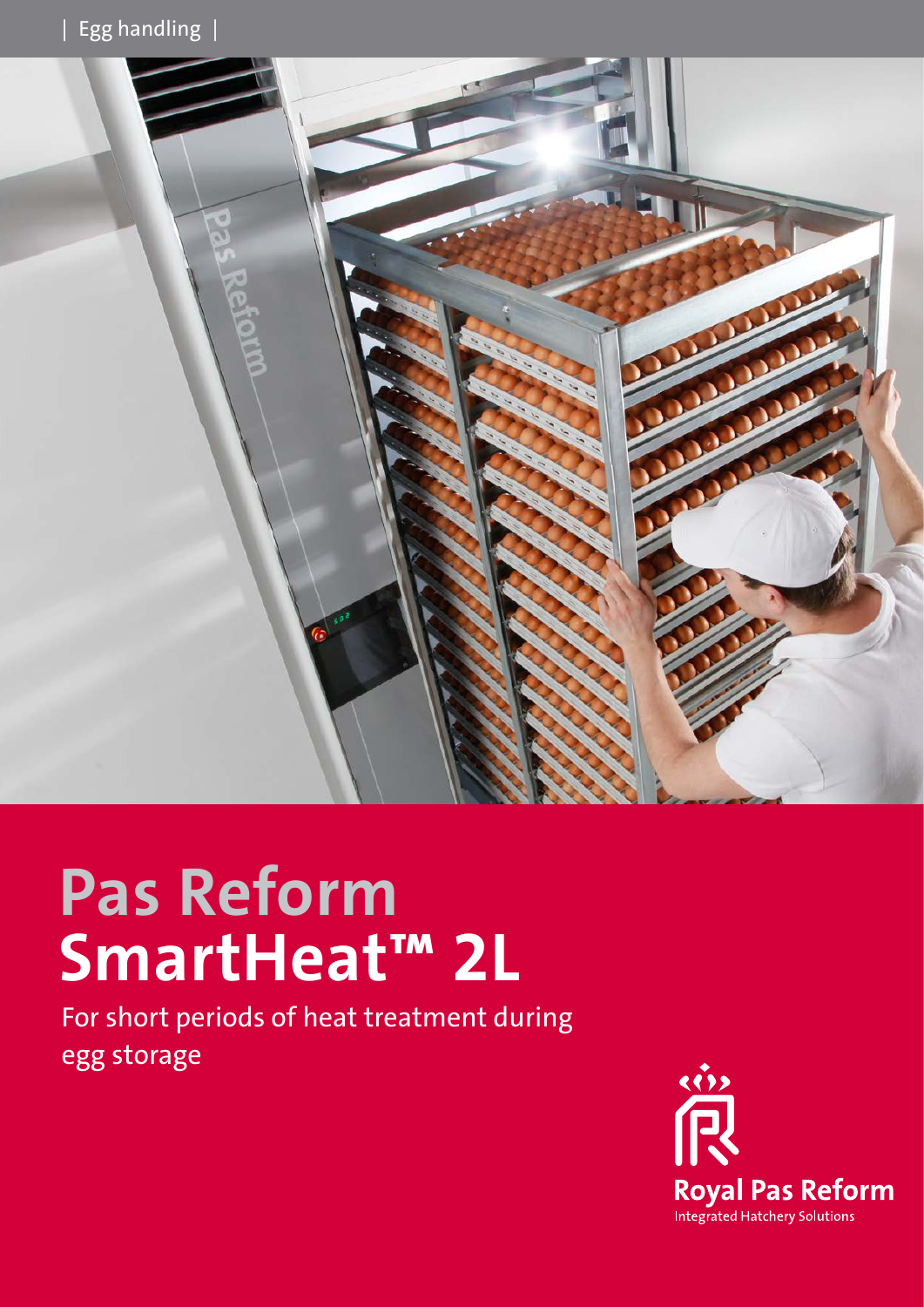

# **Pas Reform SmartHeat™ 2L**

For short periods of heat treatment during egg storage